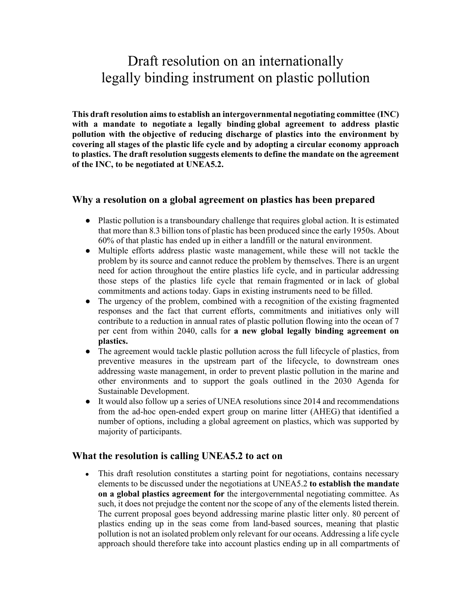# Draft resolution on an internationally legally binding instrument on plastic pollution

**This draft resolution aims to establish an intergovernmental negotiating committee (INC) with a mandate to negotiate a legally binding global agreement to address plastic pollution with the objective of reducing discharge of plastics into the environment by covering all stages of the plastic life cycle and by adopting a circular economy approach to plastics. The draft resolution suggests elements to define the mandate on the agreement of the INC, to be negotiated at UNEA5.2.**

### **Why a resolution on a global agreement on plastics has been prepared**

- Plastic pollution is a transboundary challenge that requires global action. It is estimated that more than 8.3 billion tons of plastic has been produced since the early 1950s. About 60% of that plastic has ended up in either a landfill or the natural environment.
- Multiple efforts address plastic waste management, while these will not tackle the problem by its source and cannot reduce the problem by themselves. There is an urgent need for action throughout the entire plastics life cycle, and in particular addressing those steps of the plastics life cycle that remain fragmented or in lack of global commitments and actions today. Gaps in existing instruments need to be filled.
- The urgency of the problem, combined with a recognition of the existing fragmented responses and the fact that current efforts, commitments and initiatives only will contribute to a reduction in annual rates of plastic pollution flowing into the ocean of 7 per cent from within 2040, calls for **a new global legally binding agreement on plastics.**
- The agreement would tackle plastic pollution across the full lifecycle of plastics, from preventive measures in the upstream part of the lifecycle, to downstream ones addressing waste management, in order to prevent plastic pollution in the marine and other environments and to support the goals outlined in the 2030 Agenda for Sustainable Development.
- It would also follow up a series of UNEA resolutions since 2014 and recommendations from the ad-hoc open-ended expert group on marine litter (AHEG) that identified a number of options, including a global agreement on plastics, which was supported by majority of participants.

# **What the resolution is calling UNEA5.2 to act on**

• This draft resolution constitutes a starting point for negotiations, contains necessary elements to be discussed under the negotiations at UNEA5.2 **to establish the mandate on a global plastics agreement for** the intergovernmental negotiating committee. As such, it does not prejudge the content nor the scope of any of the elements listed therein. The current proposal goes beyond addressing marine plastic litter only. 80 percent of plastics ending up in the seas come from land-based sources, meaning that plastic pollution is not an isolated problem only relevant for our oceans. Addressing a life cycle approach should therefore take into account plastics ending up in all compartments of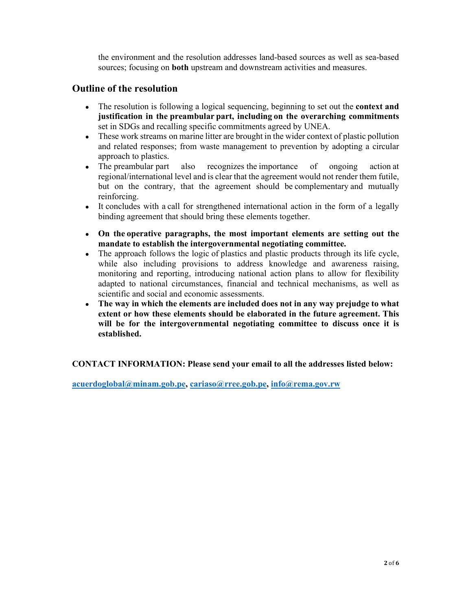the environment and the resolution addresses land-based sources as well as sea-based sources; focusing on **both** upstream and downstream activities and measures.

# **Outline of the resolution**

- The resolution is following a logical sequencing, beginning to set out the **context and justification in the preambular part, including on the overarching commitments**  set in SDGs and recalling specific commitments agreed by UNEA.
- These work streams on marine litter are brought in the wider context of plastic pollution and related responses; from waste management to prevention by adopting a circular approach to plastics.
- The preambular part also recognizes the importance of ongoing action at regional/international level and is clear that the agreement would not render them futile, but on the contrary, that the agreement should be complementary and mutually reinforcing.
- It concludes with a call for strengthened international action in the form of a legally binding agreement that should bring these elements together.
- **On the operative paragraphs, the most important elements are setting out the mandate to establish the intergovernmental negotiating committee.**
- The approach follows the logic of plastics and plastic products through its life cycle, while also including provisions to address knowledge and awareness raising, monitoring and reporting, introducing national action plans to allow for flexibility adapted to national circumstances, financial and technical mechanisms, as well as scientific and social and economic assessments.
- **The way in which the elements are included does not in any way prejudge to what extent or how these elements should be elaborated in the future agreement. This will be for the intergovernmental negotiating committee to discuss once it is established.**

**CONTACT INFORMATION: Please send your email to all the addresses listed below:** 

**acuerdoglobal@minam.gob.pe, cariaso@rree.gob.pe, info@rema.gov.rw**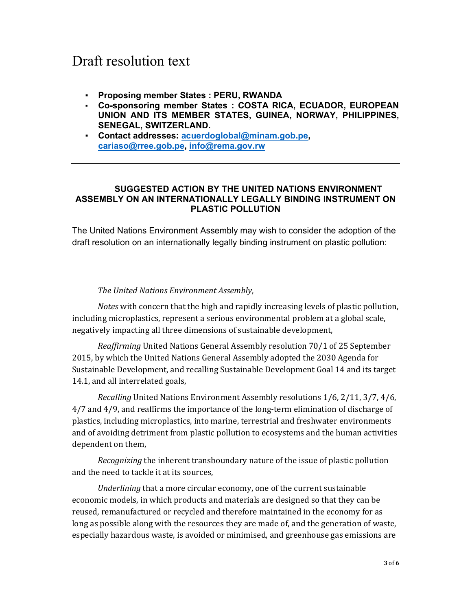# Draft resolution text

- **Proposing member States : PERU, RWANDA**
- **Co-sponsoring member States : COSTA RICA, ECUADOR, EUROPEAN UNION AND ITS MEMBER STATES, GUINEA, NORWAY, PHILIPPINES, SENEGAL, SWITZERLAND.**
- **Contact addresses: acuerdoglobal@minam.gob.pe, cariaso@rree.gob.pe, info@rema.gov.rw**

#### **SUGGESTED ACTION BY THE UNITED NATIONS ENVIRONMENT ASSEMBLY ON AN INTERNATIONALLY LEGALLY BINDING INSTRUMENT ON PLASTIC POLLUTION**

The United Nations Environment Assembly may wish to consider the adoption of the draft resolution on an internationally legally binding instrument on plastic pollution:

#### *The United Nations Environment Assembly*,

*Notes* with concern that the high and rapidly increasing levels of plastic pollution, including microplastics, represent a serious environmental problem at a global scale, negatively impacting all three dimensions of sustainable development,

*Reaffirming* United Nations General Assembly resolution 70/1 of 25 September 2015, by which the United Nations General Assembly adopted the 2030 Agenda for Sustainable Development, and recalling Sustainable Development Goal 14 and its target 14.1, and all interrelated goals,

*Recalling* United Nations Environment Assembly resolutions 1/6, 2/11, 3/7, 4/6, 4/7 and 4/9, and reaffirms the importance of the long-term elimination of discharge of plastics, including microplastics, into marine, terrestrial and freshwater environments and of avoiding detriment from plastic pollution to ecosystems and the human activities dependent on them,

*Recognizing* the inherent transboundary nature of the issue of plastic pollution and the need to tackle it at its sources,

*Underlining* that a more circular economy, one of the current sustainable economic models, in which products and materials are designed so that they can be reused, remanufactured or recycled and therefore maintained in the economy for as long as possible along with the resources they are made of, and the generation of waste, especially hazardous waste, is avoided or minimised, and greenhouse gas emissions are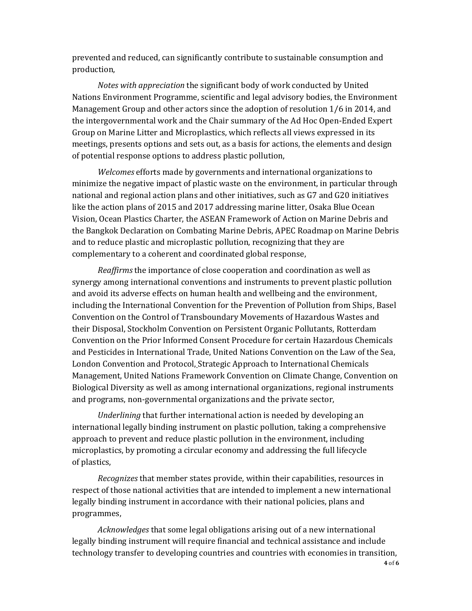prevented and reduced, can significantly contribute to sustainable consumption and production,

*Notes with appreciation* the significant body of work conducted by United Nations Environment Programme, scientific and legal advisory bodies, the Environment Management Group and other actors since the adoption of resolution 1/6 in 2014, and the intergovernmental work and the Chair summary of the Ad Hoc Open-Ended Expert Group on Marine Litter and Microplastics, which reflects all views expressed in its meetings, presents options and sets out, as a basis for actions, the elements and design of potential response options to address plastic pollution,

*Welcomes* efforts made by governments and international organizations to minimize the negative impact of plastic waste on the environment, in particular through national and regional action plans and other initiatives, such as G7 and G20 initiatives like the action plans of 2015 and 2017 addressing marine litter, Osaka Blue Ocean Vision, Ocean Plastics Charter, the ASEAN Framework of Action on Marine Debris and the Bangkok Declaration on Combating Marine Debris, APEC Roadmap on Marine Debris and to reduce plastic and microplastic pollution, recognizing that they are complementary to a coherent and coordinated global response, 

*Reaffirms* the importance of close cooperation and coordination as well as synergy among international conventions and instruments to prevent plastic pollution and avoid its adverse effects on human health and wellbeing and the environment, including the International Convention for the Prevention of Pollution from Ships, Basel Convention on the Control of Transboundary Movements of Hazardous Wastes and their Disposal, Stockholm Convention on Persistent Organic Pollutants, Rotterdam Convention on the Prior Informed Consent Procedure for certain Hazardous Chemicals and Pesticides in International Trade, United Nations Convention on the Law of the Sea, London Convention and Protocol, Strategic Approach to International Chemicals Management, United Nations Framework Convention on Climate Change, Convention on Biological Diversity as well as among international organizations, regional instruments and programs, non-governmental organizations and the private sector,  

*Underlining* that further international action is needed by developing an international legally binding instrument on plastic pollution, taking a comprehensive approach to prevent and reduce plastic pollution in the environment, including microplastics, by promoting a circular economy and addressing the full lifecycle of plastics,

*Recognizes* that member states provide, within their capabilities, resources in respect of those national activities that are intended to implement a new international legally binding instrument in accordance with their national policies, plans and programmes,

*Acknowledges* that some legal obligations arising out of a new international legally binding instrument will require financial and technical assistance and include technology transfer to developing countries and countries with economies in transition,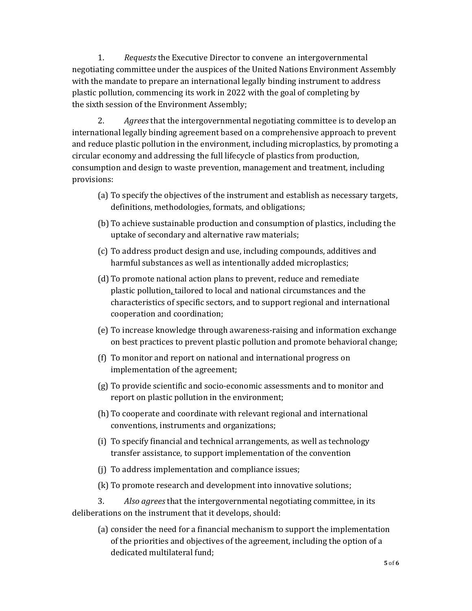1. *Requests* the Executive Director to convene  an intergovernmental  negotiating committee under the auspices of the United Nations Environment Assembly with the mandate to prepare an international legally binding instrument to address plastic pollution, commencing its work in 2022 with the goal of completing by the sixth session of the Environment Assembly; 

2. *Agrees* that the intergovernmental negotiating committee is to develop an international legally binding agreement based on a comprehensive approach to prevent and reduce plastic pollution in the environment, including microplastics, by promoting a circular economy and addressing the full lifecycle of plastics from production, consumption and design to waste prevention, management and treatment, including provisions: 

- (a) To specify the objectives of the instrument and establish as necessary targets, definitions, methodologies, formats, and obligations;
- (b) To achieve sustainable production and consumption of plastics, including the uptake of secondary and alternative raw materials;
- (c) To address product design and use, including compounds, additives and harmful substances as well as intentionally added microplastics;
- (d) To promote national action plans to prevent, reduce and remediate plastic pollution, tailored to local and national circumstances and the characteristics of specific sectors, and to support regional and international cooperation and coordination;
- (e) To increase knowledge through awareness-raising and information exchange on best practices to prevent plastic pollution and promote behavioral change;
- (f) To monitor and report on national and international progress on implementation of the agreement;
- (g) To provide scientific and socio-economic assessments and to monitor and report on plastic pollution in the environment;
- (h) To cooperate and coordinate with relevant regional and international conventions, instruments and organizations;
- (i) To specify financial and technical arrangements, as well as technology transfer assistance, to support implementation of the convention
- (j) To address implementation and compliance issues;
- (k) To promote research and development into innovative solutions;

3. *Also agrees* that the intergovernmental negotiating committee, in its deliberations on the instrument that it develops, should:

(a) consider the need for a financial mechanism to support the implementation of the priorities and objectives of the agreement, including the option of a dedicated multilateral fund;